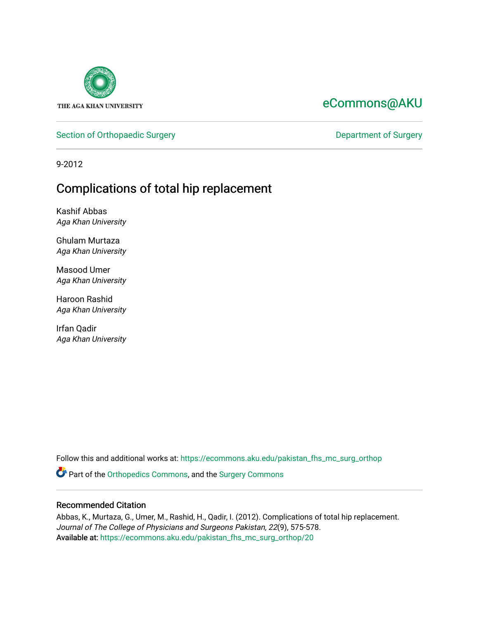

# [eCommons@AKU](https://ecommons.aku.edu/)

### [Section of Orthopaedic Surgery](https://ecommons.aku.edu/pakistan_fhs_mc_surg_orthop) **Department of Surgery** Department of Surgery

9-2012

# Complications of total hip replacement

Kashif Abbas Aga Khan University

Ghulam Murtaza Aga Khan University

Masood Umer Aga Khan University

Haroon Rashid Aga Khan University

Irfan Qadir Aga Khan University

Follow this and additional works at: [https://ecommons.aku.edu/pakistan\\_fhs\\_mc\\_surg\\_orthop](https://ecommons.aku.edu/pakistan_fhs_mc_surg_orthop?utm_source=ecommons.aku.edu%2Fpakistan_fhs_mc_surg_orthop%2F20&utm_medium=PDF&utm_campaign=PDFCoverPages)

Part of the [Orthopedics Commons](http://network.bepress.com/hgg/discipline/696?utm_source=ecommons.aku.edu%2Fpakistan_fhs_mc_surg_orthop%2F20&utm_medium=PDF&utm_campaign=PDFCoverPages), and the [Surgery Commons](http://network.bepress.com/hgg/discipline/706?utm_source=ecommons.aku.edu%2Fpakistan_fhs_mc_surg_orthop%2F20&utm_medium=PDF&utm_campaign=PDFCoverPages) 

#### Recommended Citation

Abbas, K., Murtaza, G., Umer, M., Rashid, H., Qadir, I. (2012). Complications of total hip replacement. Journal of The College of Physicians and Surgeons Pakistan, 22(9), 575-578. Available at: [https://ecommons.aku.edu/pakistan\\_fhs\\_mc\\_surg\\_orthop/20](https://ecommons.aku.edu/pakistan_fhs_mc_surg_orthop/20)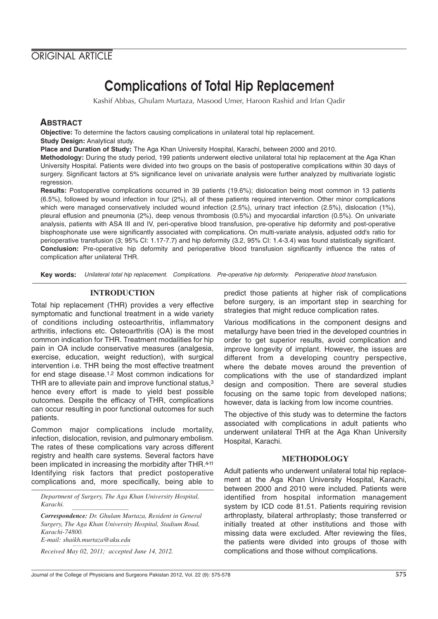## **ORIGINAL ARTICLE**

# Complications of Total Hip Replacement

Kashif Abbas, Ghulam Murtaza, Masood Umer, Haroon Rashid and Irfan Qadir

### **ABSTRACT**

**Objective:** To determine the factors causing complications in unilateral total hip replacement.

**Study Design:** Analytical study.

**Place and Duration of Study:** The Aga Khan University Hospital, Karachi, between 2000 and 2010.

**Methodology:** During the study period, 199 patients underwent elective unilateral total hip replacement at the Aga Khan University Hospital. Patients were divided into two groups on the basis of postoperative complications within 30 days of surgery. Significant factors at 5% significance level on univariate analysis were further analyzed by multivariate logistic regression.

**Results:** Postoperative complications occurred in 39 patients (19.6%); dislocation being most common in 13 patients (6.5%), followed by wound infection in four (2%), all of these patients required intervention. Other minor complications which were managed conservatively included wound infection (2.5%), urinary tract infection (2.5%), dislocation (1%), pleural effusion and pneumonia (2%), deep venous thrombosis (0.5%) and myocardial infarction (0.5%). On univariate analysis, patients with ASA III and IV, peri-operative blood transfusion, pre-operative hip deformity and post-operative bisphosphonate use were significantly associated with complications. On multi-variate analysis, adjusted odd's ratio for perioperative transfusion (3; 95% CI: 1.17-7.7) and hip deformity (3.2, 95% CI: 1.4-3.4) was found statistically significant. **Conclusion:** Pre-operative hip deformity and perioperative blood transfusion significantly influence the rates of complication after unilateral THR.

**Key words:** Unilateral total hip replacement. Complications. Pre-operative hip deformity. Perioperative blood transfusion.

### **INTRODUCTION**

Total hip replacement (THR) provides a very effective symptomatic and functional treatment in a wide variety of conditions including osteoarthritis, inflammatory arthritis, infections etc. Osteoarthritis (OA) is the most common indication for THR. Treatment modalities for hip pain in OA include conservative measures (analgesia, exercise, education, weight reduction), with surgical intervention i.e. THR being the most effective treatment for end stage disease.1,2 Most common indications for THR are to alleviate pain and improve functional status,<sup>3</sup> hence every effort is made to yield best possible outcomes. Despite the efficacy of THR, complications can occur resulting in poor functional outcomes for such patients.

Common major complications include mortality, infection, dislocation, revision, and pulmonary embolism. The rates of these complications vary across different registry and health care systems. Several factors have been implicated in increasing the morbidity after THR.4-11 Identifying risk factors that predict postoperative complications and, more specifically, being able to

*Department of Surgery, The Aga Khan University Hospital, Karachi.*

*Correspondence: Dr. Ghulam Murtaza, Resident in General Surgery, The Aga Khan University Hospital, Stadium Road, Karachi-74800. E-mail: shaikh.murtaza@aku.edu*

*Received May 02, 2011; accepted June 14, 2012.*

predict those patients at higher risk of complications before surgery, is an important step in searching for strategies that might reduce complication rates.

Various modifications in the component designs and metallurgy have been tried in the developed countries in order to get superior results, avoid complication and improve longevity of implant. However, the issues are different from a developing country perspective, where the debate moves around the prevention of complications with the use of standardized implant design and composition. There are several studies focusing on the same topic from developed nations; however, data is lacking from low income countries.

The objective of this study was to determine the factors associated with complications in adult patients who underwent unilateral THR at the Aga Khan University Hospital, Karachi.

#### **METHODOLOGY**

Adult patients who underwent unilateral total hip replacement at the Aga Khan University Hospital, Karachi, between 2000 and 2010 were included. Patients were identified from hospital information management system by ICD code 81.51. Patients requiring revision arthroplasty, bilateral arthroplasty; those transferred or initially treated at other institutions and those with missing data were excluded. After reviewing the files, the patients were divided into groups of those with complications and those without complications.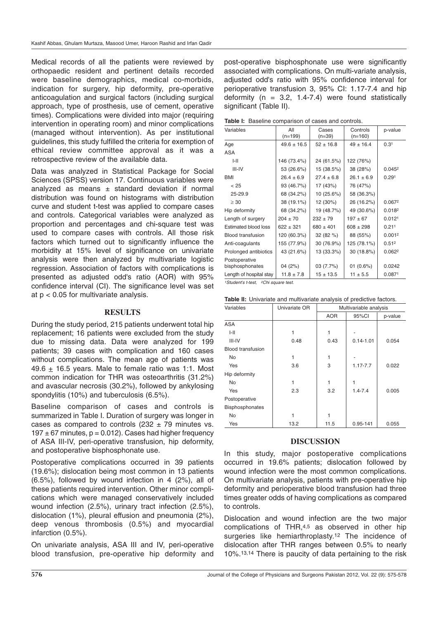Medical records of all the patients were reviewed by orthopaedic resident and pertinent details recorded were baseline demographics, medical co-morbids, indication for surgery, hip deformity, pre-operative anticoagulation and surgical factors (including surgical approach, type of prosthesis, use of cement, operative times). Complications were divided into major (requiring intervention in operating room) and minor complications (managed without intervention). As per institutional guidelines, this study fulfilled the criteria for exemption of ethical review committee approval as it was a retrospective review of the available data.

Data was analyzed in Statistical Package for Social Sciences (SPSS) version 17. Continuous variables were analyzed as means  $\pm$  standard deviation if normal distribution was found on histograms with distribution curve and student t-test was applied to compare cases and controls. Categorical variables were analyzed as proportion and percentages and chi-square test was used to compare cases with controls. All those risk factors which turned out to significantly influence the morbidity at 15% level of significance on univariate analysis were then analyzed by multivariate logistic regression. Association of factors with complications is presented as adjusted odd's ratio (AOR) with 95% confidence interval (CI). The significance level was set at p < 0.05 for multivariate analysis.

#### **RESULTS**

During the study period, 215 patients underwent total hip replacement; 16 patients were excluded from the study due to missing data. Data were analyzed for 199 patients; 39 cases with complication and 160 cases without complications. The mean age of patients was 49.6 + 16.5 years. Male to female ratio was 1:1. Most common indication for THR was osteoarthritis (31.2%) and avascular necrosis (30.2%), followed by ankylosing spondylitis (10%) and tuberculosis (6.5%).

Baseline comparison of cases and controls is summarized in Table I. Duration of surgery was longer in cases as compared to controls  $(232 + 79 \text{ minutes vs.})$  $197 \pm 67$  minutes,  $p = 0.012$ ). Cases had higher frequency of ASA III-IV, peri-operative transfusion, hip deformity, and postoperative bisphosphonate use.

Postoperative complications occurred in 39 patients (19.6%); dislocation being most common in 13 patients (6.5%), followed by wound infection in 4 (2%), all of these patients required intervention. Other minor complications which were managed conservatively included wound infection (2.5%), urinary tract infection (2.5%), dislocation (1%), pleural effusion and pneumonia (2%), deep venous thrombosis (0.5%) and myocardial infarction (0.5%).

On univariate analysis, ASA III and IV, peri-operative blood transfusion, pre-operative hip deformity and

post-operative bisphosphonate use were significantly associated with complications. On multi-variate analysis, adjusted odd's ratio with 95% confidence interval for perioperative transfusion 3, 95% CI: 1.17-7.4 and hip deformity ( $n = 3.2, 1.4$ -7.4) were found statistically significant (Table II).

**Table I:** Baseline comparison of cases and controls.

| Variables                        | All<br>$(n=199)$ | Cases<br>$(n=39)$ | Controls<br>$(n=160)$ | p-value           |
|----------------------------------|------------------|-------------------|-----------------------|-------------------|
| Age                              | $49.6 \pm 16.5$  | $52 \pm 16.8$     | $49 \pm 16.4$         | 0.31              |
| ASA                              |                  |                   |                       |                   |
| III                              | 146 (73.4%)      | 24 (61.5%)        | 122 (76%)             |                   |
| III-IV                           | 53 (26.6%)       | 15 (38.5%)        | 38 (28%)              | 0.0452            |
| <b>BMI</b>                       | $26.4 \pm 6.9$   | $27.4 \pm 6.8$    | $26.1 \pm 6.9$        | 0.291             |
| < 25                             | 93 (46.7%)       | 17 (43%)          | 76 (47%)              |                   |
| 25-29.9                          | 68 (34.2%)       | 10(25.6%)         | 58 (36.3%)            |                   |
| $\geq 30$                        | 38 (19.1%)       | 12 (30%)          | 26 (16.2%)            | 0.0672            |
| Hip deformity                    | 68 (34.2%)       | 19 (48.7%)        | 49 (30.6%)            | 0.0182            |
| Length of surgery                | $204 \pm 70$     | $232 \pm 79$      | $197 + 67$            | 0.0121            |
| <b>Estimated blood loss</b>      | $622 \pm 321$    | $680 \pm 401$     | $608 \pm 298$         | 0.211             |
| <b>Blood transfusion</b>         | 120 (60.3%)      | 32 (82 %)         | 88 (55%)              | 0.0012            |
| Anti-coagulants                  | 155 (77.9%)      | 30 (76.9%)        | 125 (78.1%)           | 0.51 <sup>2</sup> |
| Prolonged antibiotics            | 43 (21.6%)       | 13 (33.3%)        | 30 (18.8%)            | 0.0622            |
| Postoperative<br>bisphosphonates | 04 (2%)          | 03 (7.7%)         | 01(0.6%)              | 0.0242            |
| Length of hospital stay          | $11.8 \pm 7.8$   | $15 + 13.5$       | $11 \pm 5.5$          | 0.0871            |

<sup>1</sup>Student's t-test, <sup>2</sup>Chi square test.

| Table II: Univariate and multivariate analysis of predictive factors. |  |  |  |
|-----------------------------------------------------------------------|--|--|--|
|-----------------------------------------------------------------------|--|--|--|

| Variables                | Univariate OR | Multivariable analysis |               |         |
|--------------------------|---------------|------------------------|---------------|---------|
|                          |               | <b>AOR</b>             | 95%CI         | p-value |
| <b>ASA</b>               |               |                        |               |         |
| $I-II$                   | 1             |                        |               |         |
| $III - IV$               | 0.48          | 0.43                   | $0.14 - 1.01$ | 0.054   |
| <b>Blood transfusion</b> |               |                        |               |         |
| No                       | 1             | 1                      |               |         |
| Yes                      | 3.6           | 3                      | $1.17 - 7.7$  | 0.022   |
| Hip deformity            |               |                        |               |         |
| No                       | 1             |                        |               |         |
| Yes                      | 2.3           | 3.2                    | $1.4 - 7.4$   | 0.005   |
| Postoperative            |               |                        |               |         |
| Bisphosphonates          |               |                        |               |         |
| <b>No</b>                | 1             |                        |               |         |
| Yes                      | 13.2          | 11.5                   | 0.95-141      | 0.055   |

#### **DISCUSSION**

In this study, major postoperative complications occurred in 19.6% patients; dislocation followed by wound infection were the most common complications. On multivariate analysis, patients with pre-operative hip deformity and perioperative blood transfusion had three times greater odds of having complications as compared to controls.

Dislocation and wound infection are the two major complications of THR,4,5 as observed in other hip surgeries like hemiarthroplasty.<sup>12</sup> The incidence of dislocation after THR ranges between 0.5% to nearly 10%.13,14 There is paucity of data pertaining to the risk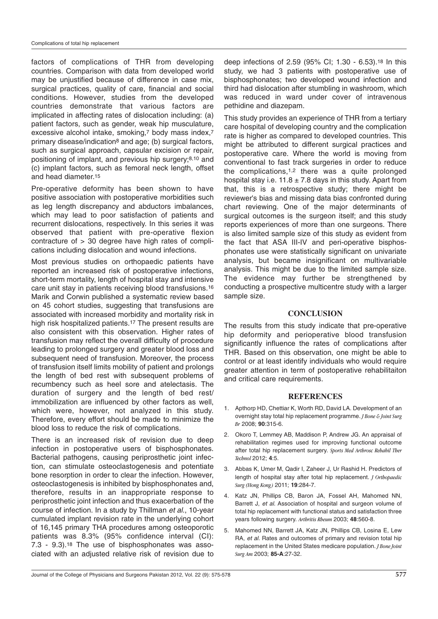factors of complications of THR from developing countries. Comparison with data from developed world may be unjustified because of difference in case mix, surgical practices, quality of care, financial and social conditions. However, studies from the developed countries demonstrate that various factors are implicated in affecting rates of dislocation including: (a) patient factors, such as gender, weak hip musculature, excessive alcohol intake, smoking,<sup>7</sup> body mass index,<sup>7</sup> primary disease/indication8 and age; (b) surgical factors, such as surgical approach, capsular excision or repair, positioning of implant, and previous hip surgery;8,10 and (c) implant factors, such as femoral neck length, offset and head diameter.15

Pre-operative deformity has been shown to have positive association with postoperative morbidities such as leg length discrepancy and abductors imbalances, which may lead to poor satisfaction of patients and recurrent dislocations, respectively. In this series it was observed that patient with pre-operative flexion contracture of > 30 degree have high rates of complications including dislocation and wound infections.

Most previous studies on orthopaedic patients have reported an increased risk of postoperative infections, short-term mortality, length of hospital stay and intensive care unit stay in patients receiving blood transfusions.16 Marik and Corwin published a systematic review based on 45 cohort studies, suggesting that transfusions are associated with increased morbidity and mortality risk in high risk hospitalized patients.<sup>17</sup> The present results are also consistent with this observation. Higher rates of transfusion may reflect the overall difficulty of procedure leading to prolonged surgery and greater blood loss and subsequent need of transfusion. Moreover, the process of transfusion itself limits mobility of patient and prolongs the length of bed rest with subsequent problems of recumbency such as heel sore and atelectasis. The duration of surgery and the length of bed rest/ immobilization are influenced by other factors as well, which were, however, not analyzed in this study. Therefore, every effort should be made to minimize the blood loss to reduce the risk of complications.

There is an increased risk of revision due to deep infection in postoperative users of bisphosphonates. Bacterial pathogens, causing periprosthetic joint infection, can stimulate osteoclastogenesis and potentiate bone resorption in order to clear the infection. However, osteoclastogenesis is inhibited by bisphosphonates and, therefore, results in an inappropriate response to periprosthetic joint infection and thus exacerbation of the course of infection. In a study by Thillman et al., 10-year cumulated implant revision rate in the underlying cohort of 16,145 primary THA procedures among osteoporotic patients was 8.3% (95% confidence interval (CI): 7.3 - 9.3).18 The use of bisphosphonates was associated with an adjusted relative risk of revision due to

deep infections of 2.59 (95% CI; 1.30 - 6.53).18 In this study, we had 3 patients with postoperative use of bisphosphonates; two developed wound infection and third had dislocation after stumbling in washroom, which was reduced in ward under cover of intravenous pethidine and diazepam.

This study provides an experience of THR from a tertiary care hospital of developing country and the complication rate is higher as compared to developed countries. This might be attributed to different surgical practices and postoperative care. Where the world is moving from conventional to fast track surgeries in order to reduce the complications,  $1,2$  there was a quite prolonged hospital stay i.e. 11.8  $\pm$  7.8 days in this study. Apart from that, this is a retrospective study; there might be reviewer's bias and missing data bias confronted during chart reviewing. One of the major determinants of surgical outcomes is the surgeon itself; and this study reports experiences of more than one surgeons. There is also limited sample size of this study as evident from the fact that ASA III-IV and peri-operative bisphosphonates use were statistically significant on univariate analysis, but became insignificant on multivariable analysis. This might be due to the limited sample size. The evidence may further be strengthened by conducting a prospective multicentre study with a larger sample size.

#### **CONCLUSION**

The results from this study indicate that pre-operative hip deformity and perioperative blood transfusion significantly influence the rates of complications after THR. Based on this observation, one might be able to control or at least identify individuals who would require greater attention in term of postoperative rehabilitaiton and critical care requirements.

#### **REFERENCES**

- 1. Apthorp HD, Chettiar K, Worth RD, David LA. Development of an overnight stay total hip replacement programme. *J Bone & Joint Surg Br* 2008; **90**:315-6.
- 2. Okoro T, Lemmey AB, Maddison P, Andrew JG. An appraisal of rehabilitation regimes used for improving functional outcome after total hip replacement surgery. *Sports Med Arthrosc Rehabil Ther Technol* 2012; **4**:5.
- 3. Abbas K, Umer M, Qadir I, Zaheer J, Ur Rashid H. Predictors of length of hospital stay after total hip replacement. *J Orthopaedic Surg (Hong Kong)* 2011; **19**:284-7.
- 4. Katz JN, Phillips CB, Baron JA, Fossel AH, Mahomed NN, Barrett J, et al. Association of hospital and surgeon volume of total hip replacement with functional status and satisfaction three years following surgery. *Arthritis Rheum* 2003; **48**:560-8.
- Mahomed NN, Barrett JA, Katz JN, Phillips CB, Losina E, Lew RA, et al. Rates and outcomes of primary and revision total hip replacement in the United States medicare population. *J Bone Joint Surg Am* 2003; **85-A**:27-32.